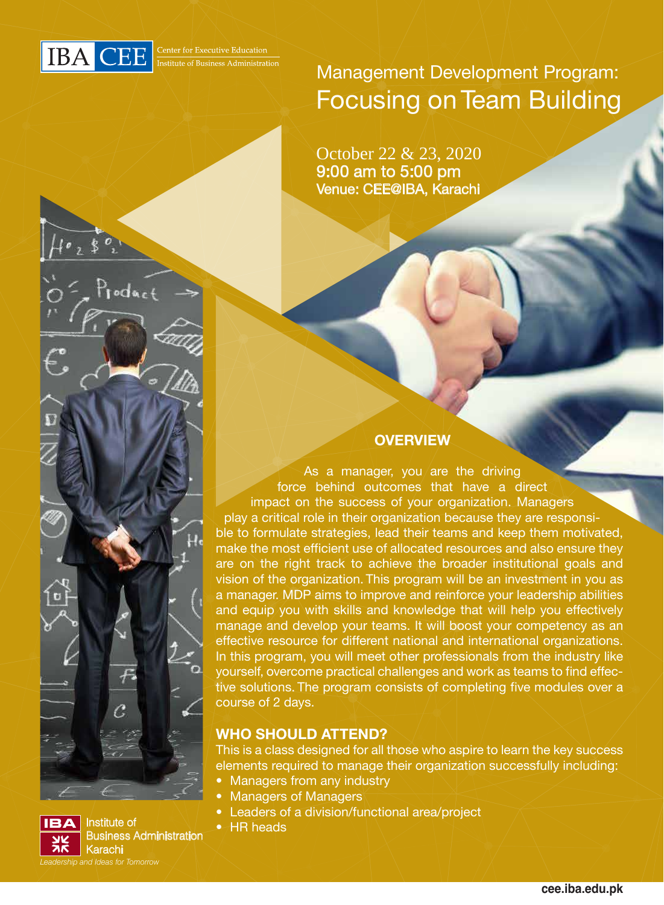

Management Development Program: Focusing on Team Building

9:00 am to 5:00 pm Venue: CEE@IBA, Karachi October 22 & 23, 2020



As a manager, you are the driving force behind outcomes that have a direct impact on the success of your organization. Managers play a critical role in their organization because they are responsible to formulate strategies, lead their teams and keep them motivated, make the most efficient use of allocated resources and also ensure they are on the right track to achieve the broader institutional goals and vision of the organization. This program will be an investment in you as a manager. MDP aims to improve and reinforce your leadership abilities and equip you with skills and knowledge that will help you effectively manage and develop your teams. It will boost your competency as an effective resource for different national and international organizations. In this program, you will meet other professionals from the industry like yourself, overcome practical challenges and work as teams to find effective solutions. The program consists of completing five modules over a course of 2 days.

## **WHO SHOULD ATTEND?**

This is a class designed for all those who aspire to learn the key success elements required to manage their organization successfully including:

- Managers from any industry
- Managers of Managers
- Leaders of a division/functional area/project
- 



 $\overline{\phantom{a}}$  HR heads Business Administration Karachi *Leadership and Ideas for Tomorrow*